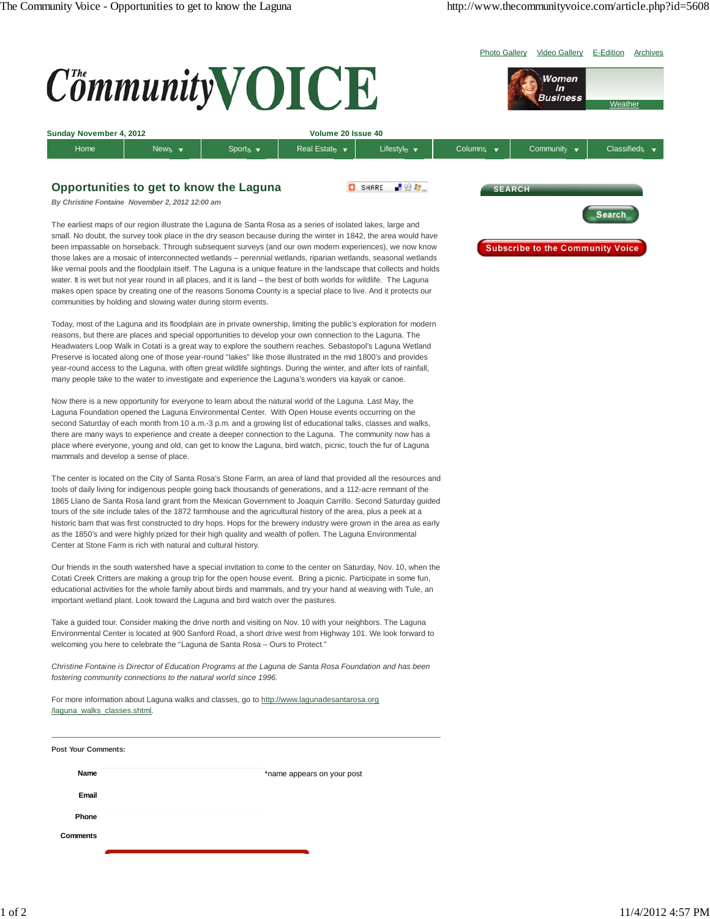Photo Gallery Video Gallery E-Edition Archives

Women  $\mathbf{ln}$ **Business** 

Weath



| Sunday November 4, 2012 |        | Volume 20 Issue 40          |                 |                                |           |           |                          |
|-------------------------|--------|-----------------------------|-----------------|--------------------------------|-----------|-----------|--------------------------|
| Home                    | Mews ▼ | Sports $\blacktriangledown$ | Real Estate   ▼ | Lifestyle $\blacktriangledown$ | Columns ' | Community | Classifieds <sup>1</sup> |
|                         |        |                             |                 |                                |           |           |                          |

## **Opportunities to get to know the Laguna**

C SHARE 204

*By Christine Fontaine November 2, 2012 12:00 am*

The earliest maps of our region illustrate the Laguna de Santa Rosa as a series of isolated lakes, large and small. No doubt, the survey took place in the dry season because during the winter in 1842, the area would have been impassable on horseback. Through subsequent surveys (and our own modern experiences), we now know those lakes are a mosaic of interconnected wetlands – perennial wetlands, riparian wetlands, seasonal wetlands like vernal pools and the floodplain itself. The Laguna is a unique feature in the landscape that collects and holds water. It is wet but not year round in all places, and it is land – the best of both worlds for wildlife. The Laguna makes open space by creating one of the reasons Sonoma County is a special place to live. And it protects our communities by holding and slowing water during storm events.

Today, most of the Laguna and its floodplain are in private ownership, limiting the public's exploration for modern reasons, but there are places and special opportunities to develop your own connection to the Laguna. The Headwaters Loop Walk in Cotati is a great way to explore the southern reaches. Sebastopol's Laguna Wetland Preserve is located along one of those year-round "lakes" like those illustrated in the mid 1800's and provides year-round access to the Laguna, with often great wildlife sightings. During the winter, and after lots of rainfall, many people take to the water to investigate and experience the Laguna's wonders via kayak or canoe.

Now there is a new opportunity for everyone to learn about the natural world of the Laguna. Last May, the Laguna Foundation opened the Laguna Environmental Center. With Open House events occurring on the second Saturday of each month from 10 a.m.-3 p.m. and a growing list of educational talks, classes and walks, there are many ways to experience and create a deeper connection to the Laguna. The community now has a place where everyone, young and old, can get to know the Laguna, bird watch, picnic, touch the fur of Laguna mammals and develop a sense of place.

The center is located on the City of Santa Rosa's Stone Farm, an area of land that provided all the resources and tools of daily living for indigenous people going back thousands of generations, and a 112-acre remnant of the 1865 Llano de Santa Rosa land grant from the Mexican Government to Joaquin Carrillo. Second Saturday guided tours of the site include tales of the 1872 farmhouse and the agricultural history of the area, plus a peek at a historic barn that was first constructed to dry hops. Hops for the brewery industry were grown in the area as early as the 1850's and were highly prized for their high quality and wealth of pollen. The Laguna Environmental Center at Stone Farm is rich with natural and cultural history.

Our friends in the south watershed have a special invitation to come to the center on Saturday, Nov. 10, when the Cotati Creek Critters are making a group trip for the open house event. Bring a picnic. Participate in some fun, educational activities for the whole family about birds and mammals, and try your hand at weaving with Tule, an important wetland plant. Look toward the Laguna and bird watch over the pastures.

Take a guided tour. Consider making the drive north and visiting on Nov. 10 with your neighbors. The Laguna Environmental Center is located at 900 Sanford Road, a short drive west from Highway 101. We look forward to welcoming you here to celebrate the "Laguna de Santa Rosa – Ours to Protect."

*Christine Fontaine is Director of Education Programs at the Laguna de Santa Rosa Foundation and has been fostering community connections to the natural world since 1996.*

For more information about Laguna walks and classes, go to http://www.lagunadesantarosa.org /laguna\_walks\_classes.shtml.

| <b>Post Your Comments:</b> |                            |
|----------------------------|----------------------------|
| Name                       | *name appears on your post |
| Email                      |                            |
| Phone                      |                            |
| <b>Comments</b>            |                            |